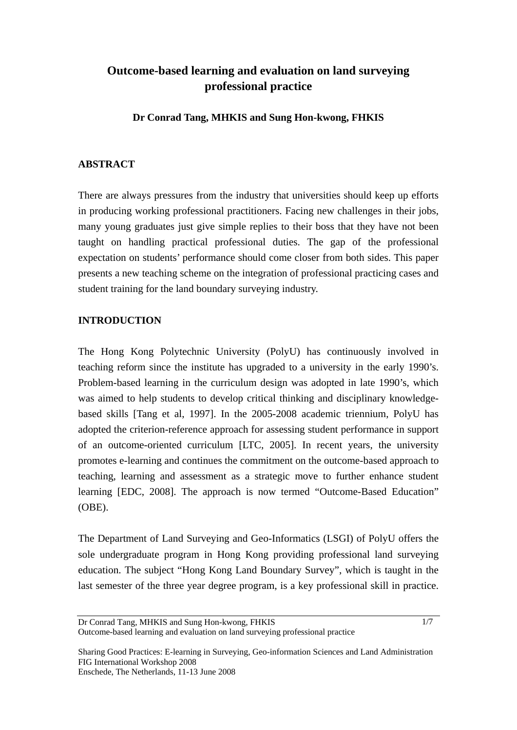# **Outcome-based learning and evaluation on land surveying professional practice**

**Dr Conrad Tang, MHKIS and Sung Hon-kwong, FHKIS** 

# **ABSTRACT**

There are always pressures from the industry that universities should keep up efforts in producing working professional practitioners. Facing new challenges in their jobs, many young graduates just give simple replies to their boss that they have not been taught on handling practical professional duties. The gap of the professional expectation on students' performance should come closer from both sides. This paper presents a new teaching scheme on the integration of professional practicing cases and student training for the land boundary surveying industry.

# **INTRODUCTION**

The Hong Kong Polytechnic University (PolyU) has continuously involved in teaching reform since the institute has upgraded to a university in the early 1990's. Problem-based learning in the curriculum design was adopted in late 1990's, which was aimed to help students to develop critical thinking and disciplinary knowledgebased skills [Tang et al, 1997]. In the 2005-2008 academic triennium, PolyU has adopted the criterion-reference approach for assessing student performance in support of an outcome-oriented curriculum [LTC, 2005]. In recent years, the university promotes e-learning and continues the commitment on the outcome-based approach to teaching, learning and assessment as a strategic move to further enhance student learning [EDC, 2008]. The approach is now termed "Outcome-Based Education" (OBE).

The Department of Land Surveying and Geo-Informatics (LSGI) of PolyU offers the sole undergraduate program in Hong Kong providing professional land surveying education. The subject "Hong Kong Land Boundary Survey", which is taught in the last semester of the three year degree program, is a key professional skill in practice.

Dr Conrad Tang, MHKIS and Sung Hon-kwong, FHKIS Outcome-based learning and evaluation on land surveying professional practice

Sharing Good Practices: E-learning in Surveying, Geo-information Sciences and Land Administration FIG International Workshop 2008 Enschede, The Netherlands, 11-13 June 2008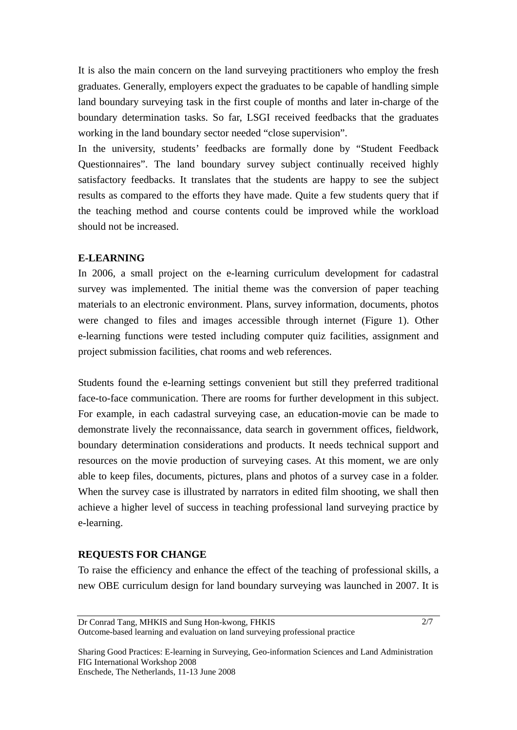It is also the main concern on the land surveying practitioners who employ the fresh graduates. Generally, employers expect the graduates to be capable of handling simple land boundary surveying task in the first couple of months and later in-charge of the boundary determination tasks. So far, LSGI received feedbacks that the graduates working in the land boundary sector needed "close supervision".

In the university, students' feedbacks are formally done by "Student Feedback Questionnaires". The land boundary survey subject continually received highly satisfactory feedbacks. It translates that the students are happy to see the subject results as compared to the efforts they have made. Quite a few students query that if the teaching method and course contents could be improved while the workload should not be increased.

# **E-LEARNING**

In 2006, a small project on the e-learning curriculum development for cadastral survey was implemented. The initial theme was the conversion of paper teaching materials to an electronic environment. Plans, survey information, documents, photos were changed to files and images accessible through internet (Figure 1). Other e-learning functions were tested including computer quiz facilities, assignment and project submission facilities, chat rooms and web references.

Students found the e-learning settings convenient but still they preferred traditional face-to-face communication. There are rooms for further development in this subject. For example, in each cadastral surveying case, an education-movie can be made to demonstrate lively the reconnaissance, data search in government offices, fieldwork, boundary determination considerations and products. It needs technical support and resources on the movie production of surveying cases. At this moment, we are only able to keep files, documents, pictures, plans and photos of a survey case in a folder. When the survey case is illustrated by narrators in edited film shooting, we shall then achieve a higher level of success in teaching professional land surveying practice by e-learning.

## **REQUESTS FOR CHANGE**

To raise the efficiency and enhance the effect of the teaching of professional skills, a new OBE curriculum design for land boundary surveying was launched in 2007. It is

2/7

Sharing Good Practices: E-learning in Surveying, Geo-information Sciences and Land Administration FIG International Workshop 2008 Enschede, The Netherlands, 11-13 June 2008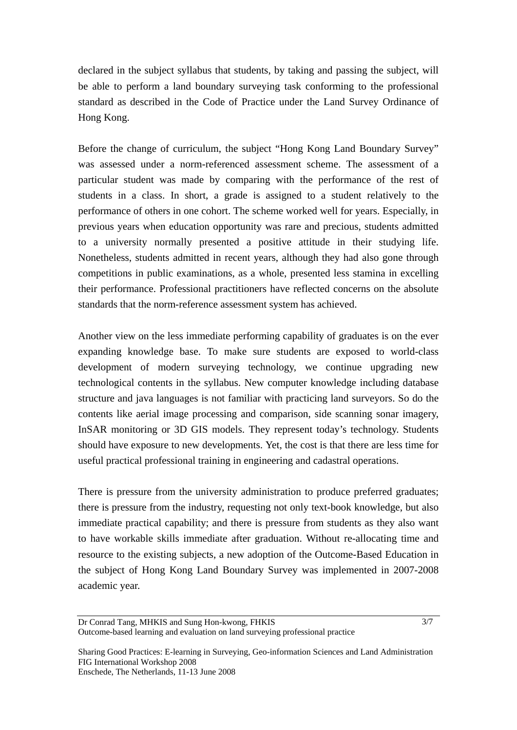declared in the subject syllabus that students, by taking and passing the subject, will be able to perform a land boundary surveying task conforming to the professional standard as described in the Code of Practice under the Land Survey Ordinance of Hong Kong.

Before the change of curriculum, the subject "Hong Kong Land Boundary Survey" was assessed under a norm-referenced assessment scheme. The assessment of a particular student was made by comparing with the performance of the rest of students in a class. In short, a grade is assigned to a student relatively to the performance of others in one cohort. The scheme worked well for years. Especially, in previous years when education opportunity was rare and precious, students admitted to a university normally presented a positive attitude in their studying life. Nonetheless, students admitted in recent years, although they had also gone through competitions in public examinations, as a whole, presented less stamina in excelling their performance. Professional practitioners have reflected concerns on the absolute standards that the norm-reference assessment system has achieved.

Another view on the less immediate performing capability of graduates is on the ever expanding knowledge base. To make sure students are exposed to world-class development of modern surveying technology, we continue upgrading new technological contents in the syllabus. New computer knowledge including database structure and java languages is not familiar with practicing land surveyors. So do the contents like aerial image processing and comparison, side scanning sonar imagery, InSAR monitoring or 3D GIS models. They represent today's technology. Students should have exposure to new developments. Yet, the cost is that there are less time for useful practical professional training in engineering and cadastral operations.

There is pressure from the university administration to produce preferred graduates; there is pressure from the industry, requesting not only text-book knowledge, but also immediate practical capability; and there is pressure from students as they also want to have workable skills immediate after graduation. Without re-allocating time and resource to the existing subjects, a new adoption of the Outcome-Based Education in the subject of Hong Kong Land Boundary Survey was implemented in 2007-2008 academic year.

Sharing Good Practices: E-learning in Surveying, Geo-information Sciences and Land Administration FIG International Workshop 2008 Enschede, The Netherlands, 11-13 June 2008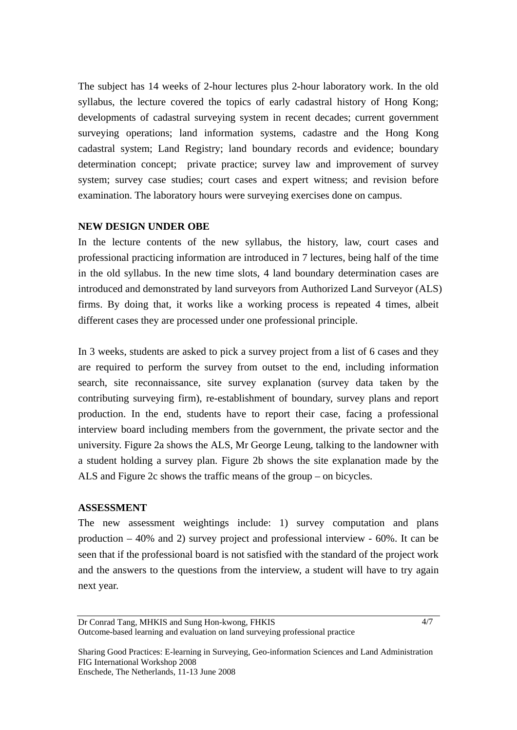The subject has 14 weeks of 2-hour lectures plus 2-hour laboratory work. In the old syllabus, the lecture covered the topics of early cadastral history of Hong Kong; developments of cadastral surveying system in recent decades; current government surveying operations; land information systems, cadastre and the Hong Kong cadastral system; Land Registry; land boundary records and evidence; boundary determination concept; private practice; survey law and improvement of survey system; survey case studies; court cases and expert witness; and revision before examination. The laboratory hours were surveying exercises done on campus.

## **NEW DESIGN UNDER OBE**

In the lecture contents of the new syllabus, the history, law, court cases and professional practicing information are introduced in 7 lectures, being half of the time in the old syllabus. In the new time slots, 4 land boundary determination cases are introduced and demonstrated by land surveyors from Authorized Land Surveyor (ALS) firms. By doing that, it works like a working process is repeated 4 times, albeit different cases they are processed under one professional principle.

In 3 weeks, students are asked to pick a survey project from a list of 6 cases and they are required to perform the survey from outset to the end, including information search, site reconnaissance, site survey explanation (survey data taken by the contributing surveying firm), re-establishment of boundary, survey plans and report production. In the end, students have to report their case, facing a professional interview board including members from the government, the private sector and the university. Figure 2a shows the ALS, Mr George Leung, talking to the landowner with a student holding a survey plan. Figure 2b shows the site explanation made by the ALS and Figure 2c shows the traffic means of the group – on bicycles.

#### **ASSESSMENT**

The new assessment weightings include: 1) survey computation and plans production – 40% and 2) survey project and professional interview - 60%. It can be seen that if the professional board is not satisfied with the standard of the project work and the answers to the questions from the interview, a student will have to try again next year.

Dr Conrad Tang, MHKIS and Sung Hon-kwong, FHKIS Outcome-based learning and evaluation on land surveying professional practice

Sharing Good Practices: E-learning in Surveying, Geo-information Sciences and Land Administration FIG International Workshop 2008 Enschede, The Netherlands, 11-13 June 2008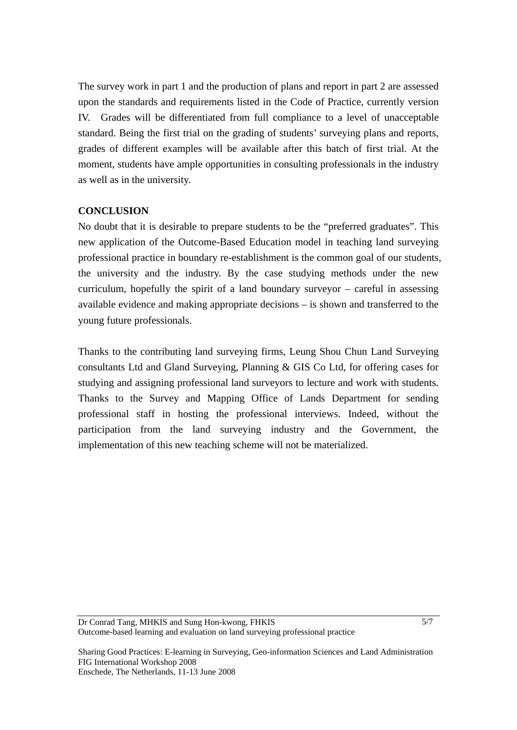The survey work in part 1 and the production of plans and report in part 2 are assessed upon the standards and requirements listed in the Code of Practice, currently version IV. Grades will be differentiated from full compliance to a level of unacceptable standard. Being the first trial on the grading of students' surveying plans and reports, grades of different examples will be available after this batch of first trial. At the moment, students have ample opportunities in consulting professionals in the industry as well as in the university.

#### **CONCLUSION**

No doubt that it is desirable to prepare students to be the "preferred graduates". This new application of the Outcome-Based Education model in teaching land surveying professional practice in boundary re-establishment is the common goal of our students, the university and the industry. By the case studying methods under the new curriculum, hopefully the spirit of a land boundary surveyor – careful in assessing available evidence and making appropriate decisions – is shown and transferred to the young future professionals.

Thanks to the contributing land surveying firms, Leung Shou Chun Land Surveying consultants Ltd and Gland Surveying, Planning & GIS Co Ltd, for offering cases for studying and assigning professional land surveyors to lecture and work with students. Thanks to the Survey and Mapping Office of Lands Department for sending professional staff in hosting the professional interviews. Indeed, without the participation from the land surveying industry and the Government, the implementation of this new teaching scheme will not be materialized.

Sharing Good Practices: E-learning in Surveying, Geo-information Sciences and Land Administration FIG International Workshop 2008 Enschede, The Netherlands, 11-13 June 2008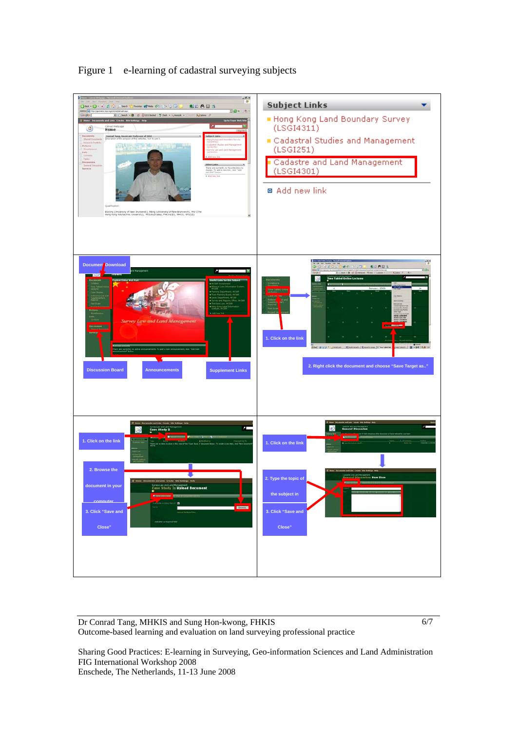**Subject Links** ÷. **251 UV** A<sub>II</sub> i a Hong Kong Land Boundary Survey  $(LSGI4311)$  $\circledcirc$ Cadastral Studies and Management  $(LSGI251)$ Cadastre and Land Management (LSGI4301) □ Add new link ick), Ming (University of New Brunswich), Phi<br>L. MIS/Australia), FHISHITES, MHKIS, RPS(LS) **KLADS Document Download** l. Click on the li **2. Right click the document and choose "Save Target as.." Discussion Board Announcements Supplement Links**   $\odot$  $\blacksquare$ **1. Click on the lin 1. Click on the link 2. Browse the**  .<br>**2. Type the topic of document in your**  nte adtents.<br>In Study 2: Upload D **the subject in computer Subject and the 3. Click "Save and 3. Click "Save and Close"**   $\blacksquare$  **Close"** 

Figure 1 e-learning of cadastral surveying subjects

Dr Conrad Tang, MHKIS and Sung Hon-kwong, FHKIS Outcome-based learning and evaluation on land surveying professional practice 6/7

Sharing Good Practices: E-learning in Surveying, Geo-information Sciences and Land Administration FIG International Workshop 2008 Enschede, The Netherlands, 11-13 June 2008